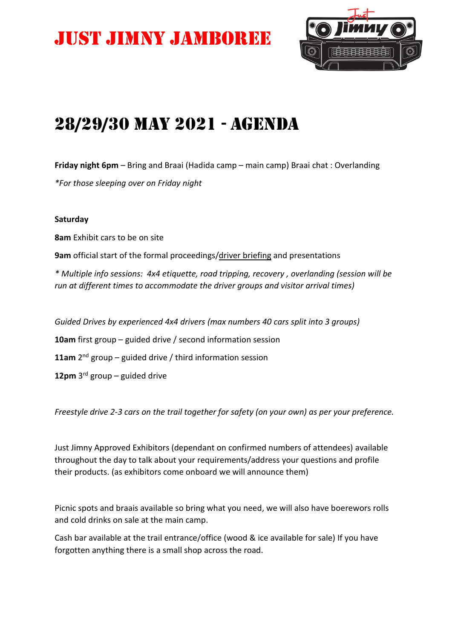# Just Jimny Jamboree



### 28/29/30 May 2021 - Agenda

**Friday night 6pm** – Bring and Braai (Hadida camp – main camp) Braai chat : Overlanding *\*For those sleeping over on Friday night*

#### **Saturday**

**8am** Exhibit cars to be on site

**9am** official start of the formal proceedings/driver briefing and presentations

*\* Multiple info sessions: 4x4 etiquette, road tripping, recovery , overlanding (session will be run at different times to accommodate the driver groups and visitor arrival times)*

*Guided Drives by experienced 4x4 drivers (max numbers 40 cars split into 3 groups)* **10am** first group – guided drive / second information session 11am 2<sup>nd</sup> group - guided drive / third information session **12pm** 3 rd group – guided drive

*Freestyle drive 2-3 cars on the trail together for safety (on your own) as per your preference.*

Just Jimny Approved Exhibitors (dependant on confirmed numbers of attendees) available throughout the day to talk about your requirements/address your questions and profile their products. (as exhibitors come onboard we will announce them)

Picnic spots and braais available so bring what you need, we will also have boerewors rolls and cold drinks on sale at the main camp.

Cash bar available at the trail entrance/office (wood & ice available for sale) If you have forgotten anything there is a small shop across the road.